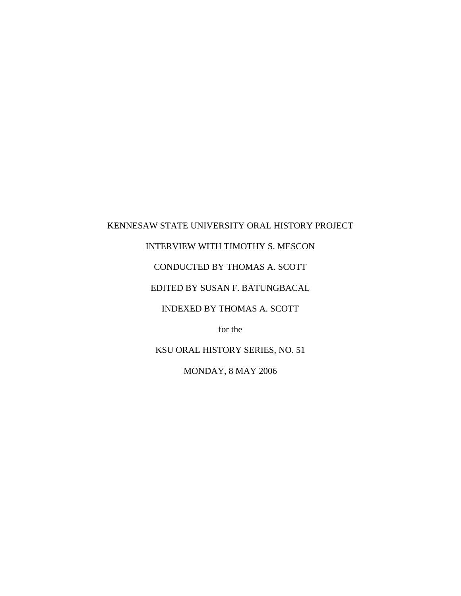## KENNESAW STATE UNIVERSITY ORAL HISTORY PROJECT

# INTERVIEW WITH TIMOTHY S. MESCON

## CONDUCTED BY THOMAS A. SCOTT

## EDITED BY SUSAN F. BATUNGBACAL

## INDEXED BY THOMAS A. SCOTT

for the

KSU ORAL HISTORY SERIES, NO. 51

MONDAY, 8 MAY 2006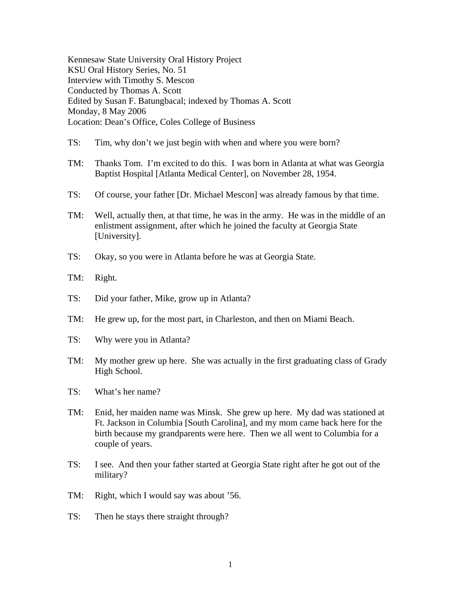Kennesaw State University Oral History Project KSU Oral History Series, No. 51 Interview with Timothy S. Mescon Conducted by Thomas A. Scott Edited by Susan F. Batungbacal; indexed by Thomas A. Scott Monday, 8 May 2006 Location: Dean's Office, Coles College of Business

- TS: Tim, why don't we just begin with when and where you were born?
- TM: Thanks Tom. I'm excited to do this. I was born in Atlanta at what was Georgia Baptist Hospital [Atlanta Medical Center], on November 28, 1954.
- TS: Of course, your father [Dr. Michael Mescon] was already famous by that time.
- TM: Well, actually then, at that time, he was in the army. He was in the middle of an enlistment assignment, after which he joined the faculty at Georgia State [University].
- TS: Okay, so you were in Atlanta before he was at Georgia State.
- TM: Right.
- TS: Did your father, Mike, grow up in Atlanta?
- TM: He grew up, for the most part, in Charleston, and then on Miami Beach.
- TS: Why were you in Atlanta?
- TM: My mother grew up here. She was actually in the first graduating class of Grady High School.
- TS: What's her name?
- TM: Enid, her maiden name was Minsk. She grew up here. My dad was stationed at Ft. Jackson in Columbia [South Carolina], and my mom came back here for the birth because my grandparents were here. Then we all went to Columbia for a couple of years.
- TS: I see. And then your father started at Georgia State right after he got out of the military?
- TM: Right, which I would say was about '56.
- TS: Then he stays there straight through?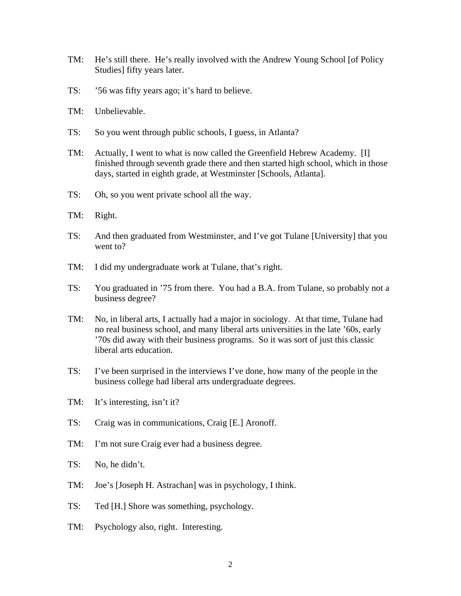- TM: He's still there. He's really involved with the Andrew Young School [of Policy Studies] fifty years later.
- TS: '56 was fifty years ago; it's hard to believe.
- TM: Unbelievable.
- TS: So you went through public schools, I guess, in Atlanta?
- TM: Actually, I went to what is now called the Greenfield Hebrew Academy. [I] finished through seventh grade there and then started high school, which in those days, started in eighth grade, at Westminster [Schools, Atlanta].
- TS: Oh, so you went private school all the way.
- TM: Right.
- TS: And then graduated from Westminster, and I've got Tulane [University] that you went to?
- TM: I did my undergraduate work at Tulane, that's right.
- TS: You graduated in '75 from there. You had a B.A. from Tulane, so probably not a business degree?
- TM: No, in liberal arts, I actually had a major in sociology. At that time, Tulane had no real business school, and many liberal arts universities in the late '60s, early '70s did away with their business programs. So it was sort of just this classic liberal arts education.
- TS: I've been surprised in the interviews I've done, how many of the people in the business college had liberal arts undergraduate degrees.
- TM: It's interesting, isn't it?
- TS: Craig was in communications, Craig [E.] Aronoff.
- TM: I'm not sure Craig ever had a business degree.
- TS: No, he didn't.
- TM: Joe's [Joseph H. Astrachan] was in psychology, I think.
- TS: Ted [H.] Shore was something, psychology.
- TM: Psychology also, right. Interesting.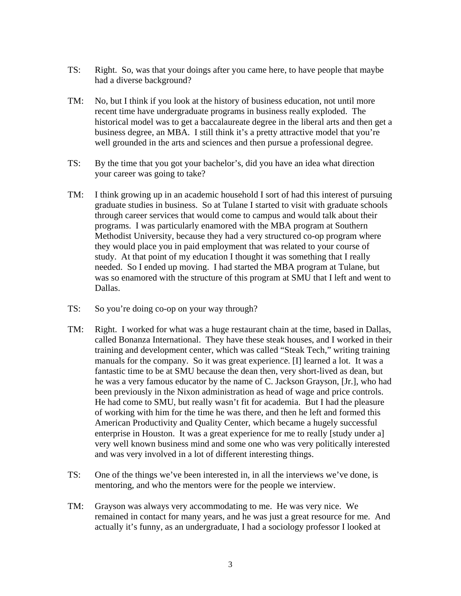- TS: Right. So, was that your doings after you came here, to have people that maybe had a diverse background?
- TM: No, but I think if you look at the history of business education, not until more recent time have undergraduate programs in business really exploded. The historical model was to get a baccalaureate degree in the liberal arts and then get a business degree, an MBA. I still think it's a pretty attractive model that you're well grounded in the arts and sciences and then pursue a professional degree.
- TS: By the time that you got your bachelor's, did you have an idea what direction your career was going to take?
- TM: I think growing up in an academic household I sort of had this interest of pursuing graduate studies in business. So at Tulane I started to visit with graduate schools through career services that would come to campus and would talk about their programs. I was particularly enamored with the MBA program at Southern Methodist University, because they had a very structured co-op program where they would place you in paid employment that was related to your course of study. At that point of my education I thought it was something that I really needed. So I ended up moving. I had started the MBA program at Tulane, but was so enamored with the structure of this program at SMU that I left and went to Dallas.
- TS: So you're doing co-op on your way through?
- TM: Right. I worked for what was a huge restaurant chain at the time, based in Dallas, called Bonanza International. They have these steak houses, and I worked in their training and development center, which was called "Steak Tech," writing training manuals for the company. So it was great experience. [I] learned a lot. It was a fantastic time to be at SMU because the dean then, very short-lived as dean, but he was a very famous educator by the name of C. Jackson Grayson, [Jr.], who had been previously in the Nixon administration as head of wage and price controls. He had come to SMU, but really wasn't fit for academia. But I had the pleasure of working with him for the time he was there, and then he left and formed this American Productivity and Quality Center, which became a hugely successful enterprise in Houston. It was a great experience for me to really [study under a] very well known business mind and some one who was very politically interested and was very involved in a lot of different interesting things.
- TS: One of the things we've been interested in, in all the interviews we've done, is mentoring, and who the mentors were for the people we interview.
- TM: Grayson was always very accommodating to me. He was very nice. We remained in contact for many years, and he was just a great resource for me. And actually it's funny, as an undergraduate, I had a sociology professor I looked at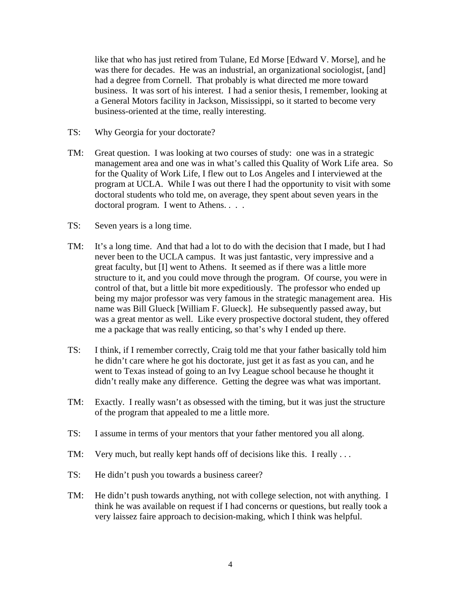like that who has just retired from Tulane, Ed Morse [Edward V. Morse], and he was there for decades. He was an industrial, an organizational sociologist, [and] had a degree from Cornell. That probably is what directed me more toward business. It was sort of his interest. I had a senior thesis, I remember, looking at a General Motors facility in Jackson, Mississippi, so it started to become very business-oriented at the time, really interesting.

- TS: Why Georgia for your doctorate?
- TM: Great question. I was looking at two courses of study: one was in a strategic management area and one was in what's called this Quality of Work Life area. So for the Quality of Work Life, I flew out to Los Angeles and I interviewed at the program at UCLA. While I was out there I had the opportunity to visit with some doctoral students who told me, on average, they spent about seven years in the doctoral program. I went to Athens. . . .
- TS: Seven years is a long time.
- TM: It's a long time. And that had a lot to do with the decision that I made, but I had never been to the UCLA campus. It was just fantastic, very impressive and a great faculty, but [I] went to Athens. It seemed as if there was a little more structure to it, and you could move through the program. Of course, you were in control of that, but a little bit more expeditiously. The professor who ended up being my major professor was very famous in the strategic management area. His name was Bill Glueck [William F. Glueck]. He subsequently passed away, but was a great mentor as well. Like every prospective doctoral student, they offered me a package that was really enticing, so that's why I ended up there.
- TS: I think, if I remember correctly, Craig told me that your father basically told him he didn't care where he got his doctorate, just get it as fast as you can, and he went to Texas instead of going to an Ivy League school because he thought it didn't really make any difference. Getting the degree was what was important.
- TM: Exactly. I really wasn't as obsessed with the timing, but it was just the structure of the program that appealed to me a little more.
- TS: I assume in terms of your mentors that your father mentored you all along.
- TM: Very much, but really kept hands off of decisions like this. I really ...
- TS: He didn't push you towards a business career?
- TM: He didn't push towards anything, not with college selection, not with anything. I think he was available on request if I had concerns or questions, but really took a very laissez faire approach to decision-making, which I think was helpful.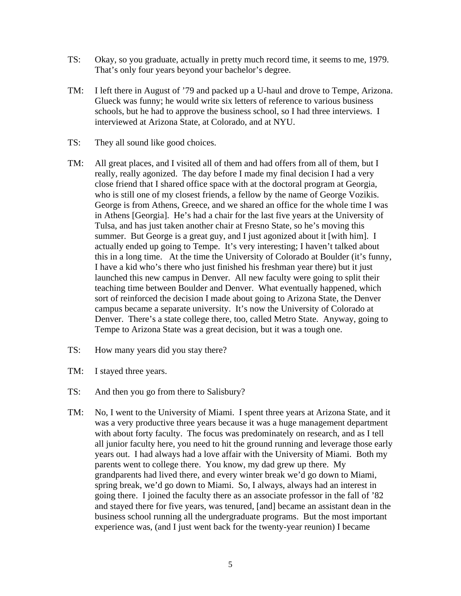- TS: Okay, so you graduate, actually in pretty much record time, it seems to me, 1979. That's only four years beyond your bachelor's degree.
- TM: I left there in August of '79 and packed up a U-haul and drove to Tempe, Arizona. Glueck was funny; he would write six letters of reference to various business schools, but he had to approve the business school, so I had three interviews. I interviewed at Arizona State, at Colorado, and at NYU.
- TS: They all sound like good choices.
- TM: All great places, and I visited all of them and had offers from all of them, but I really, really agonized. The day before I made my final decision I had a very close friend that I shared office space with at the doctoral program at Georgia, who is still one of my closest friends, a fellow by the name of George Vozikis. George is from Athens, Greece, and we shared an office for the whole time I was in Athens [Georgia]. He's had a chair for the last five years at the University of Tulsa, and has just taken another chair at Fresno State, so he's moving this summer. But George is a great guy, and I just agonized about it [with him]. I actually ended up going to Tempe. It's very interesting; I haven't talked about this in a long time. At the time the University of Colorado at Boulder (it's funny, I have a kid who's there who just finished his freshman year there) but it just launched this new campus in Denver. All new faculty were going to split their teaching time between Boulder and Denver. What eventually happened, which sort of reinforced the decision I made about going to Arizona State, the Denver campus became a separate university. It's now the University of Colorado at Denver. There's a state college there, too, called Metro State. Anyway, going to Tempe to Arizona State was a great decision, but it was a tough one.
- TS: How many years did you stay there?
- TM: I stayed three years.
- TS: And then you go from there to Salisbury?
- TM: No, I went to the University of Miami. I spent three years at Arizona State, and it was a very productive three years because it was a huge management department with about forty faculty. The focus was predominately on research, and as I tell all junior faculty here, you need to hit the ground running and leverage those early years out. I had always had a love affair with the University of Miami. Both my parents went to college there. You know, my dad grew up there. My grandparents had lived there, and every winter break we'd go down to Miami, spring break, we'd go down to Miami. So, I always, always had an interest in going there. I joined the faculty there as an associate professor in the fall of '82 and stayed there for five years, was tenured, [and] became an assistant dean in the business school running all the undergraduate programs. But the most important experience was, (and I just went back for the twenty-year reunion) I became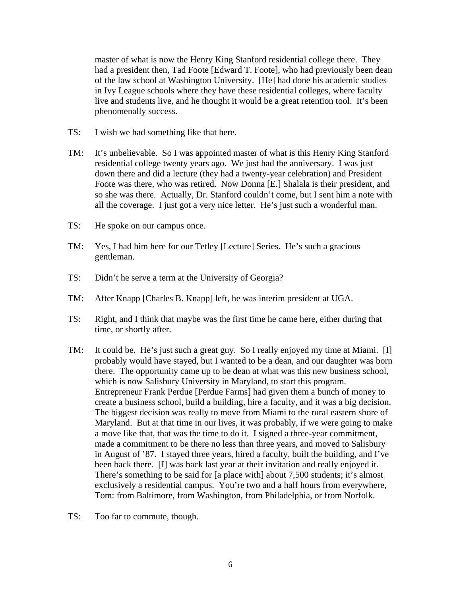master of what is now the Henry King Stanford residential college there. They had a president then, Tad Foote [Edward T. Foote], who had previously been dean of the law school at Washington University. [He] had done his academic studies in Ivy League schools where they have these residential colleges, where faculty live and students live, and he thought it would be a great retention tool. It's been phenomenally success.

- TS: I wish we had something like that here.
- TM: It's unbelievable. So I was appointed master of what is this Henry King Stanford residential college twenty years ago. We just had the anniversary. I was just down there and did a lecture (they had a twenty-year celebration) and President Foote was there, who was retired. Now Donna [E.] Shalala is their president, and so she was there. Actually, Dr. Stanford couldn't come, but I sent him a note with all the coverage. I just got a very nice letter. He's just such a wonderful man.
- TS: He spoke on our campus once.
- TM: Yes, I had him here for our Tetley [Lecture] Series. He's such a gracious gentleman.
- TS: Didn't he serve a term at the University of Georgia?
- TM: After Knapp [Charles B. Knapp] left, he was interim president at UGA.
- TS: Right, and I think that maybe was the first time he came here, either during that time, or shortly after.
- TM: It could be. He's just such a great guy. So I really enjoyed my time at Miami. [I] probably would have stayed, but I wanted to be a dean, and our daughter was born there. The opportunity came up to be dean at what was this new business school, which is now Salisbury University in Maryland, to start this program. Entrepreneur Frank Perdue [Perdue Farms] had given them a bunch of money to create a business school, build a building, hire a faculty, and it was a big decision. The biggest decision was really to move from Miami to the rural eastern shore of Maryland. But at that time in our lives, it was probably, if we were going to make a move like that, that was the time to do it. I signed a three-year commitment, made a commitment to be there no less than three years, and moved to Salisbury in August of '87. I stayed three years, hired a faculty, built the building, and I've been back there. [I] was back last year at their invitation and really enjoyed it. There's something to be said for [a place with] about 7,500 students; it's almost exclusively a residential campus. You're two and a half hours from everywhere, Tom: from Baltimore, from Washington, from Philadelphia, or from Norfolk.
- TS: Too far to commute, though.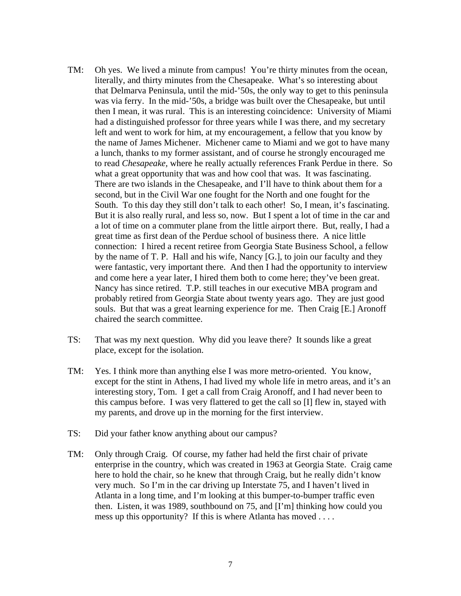- TM: Oh yes. We lived a minute from campus! You're thirty minutes from the ocean, literally, and thirty minutes from the Chesapeake. What's so interesting about that Delmarva Peninsula, until the mid-'50s, the only way to get to this peninsula was via ferry. In the mid-'50s, a bridge was built over the Chesapeake, but until then I mean, it was rural. This is an interesting coincidence: University of Miami had a distinguished professor for three years while I was there, and my secretary left and went to work for him, at my encouragement, a fellow that you know by the name of James Michener. Michener came to Miami and we got to have many a lunch, thanks to my former assistant, and of course he strongly encouraged me to read *Chesapeake,* where he really actually references Frank Perdue in there. So what a great opportunity that was and how cool that was. It was fascinating. There are two islands in the Chesapeake, and I'll have to think about them for a second, but in the Civil War one fought for the North and one fought for the South. To this day they still don't talk to each other! So, I mean, it's fascinating. But it is also really rural, and less so, now. But I spent a lot of time in the car and a lot of time on a commuter plane from the little airport there. But, really, I had a great time as first dean of the Perdue school of business there. A nice little connection: I hired a recent retiree from Georgia State Business School, a fellow by the name of T. P. Hall and his wife, Nancy [G.], to join our faculty and they were fantastic, very important there. And then I had the opportunity to interview and come here a year later, I hired them both to come here; they've been great. Nancy has since retired. T.P. still teaches in our executive MBA program and probably retired from Georgia State about twenty years ago. They are just good souls. But that was a great learning experience for me. Then Craig [E.] Aronoff chaired the search committee.
- TS: That was my next question. Why did you leave there? It sounds like a great place, except for the isolation.
- TM: Yes. I think more than anything else I was more metro-oriented. You know, except for the stint in Athens, I had lived my whole life in metro areas, and it's an interesting story, Tom. I get a call from Craig Aronoff, and I had never been to this campus before. I was very flattered to get the call so [I] flew in, stayed with my parents, and drove up in the morning for the first interview.
- TS: Did your father know anything about our campus?
- TM: Only through Craig. Of course, my father had held the first chair of private enterprise in the country, which was created in 1963 at Georgia State. Craig came here to hold the chair, so he knew that through Craig, but he really didn't know very much. So I'm in the car driving up Interstate 75, and I haven't lived in Atlanta in a long time, and I'm looking at this bumper-to-bumper traffic even then. Listen, it was 1989, southbound on 75, and [I'm] thinking how could you mess up this opportunity? If this is where Atlanta has moved . . . .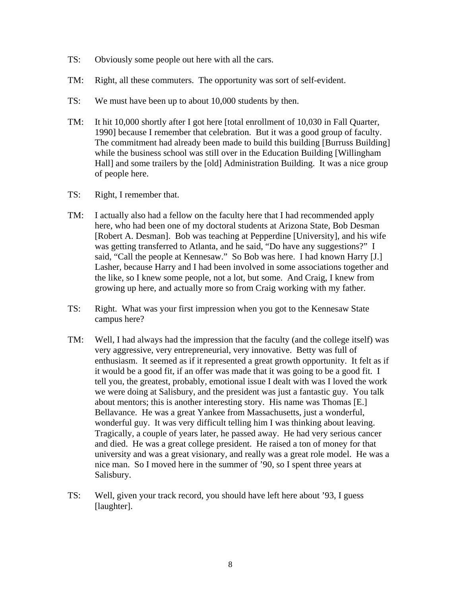- TS: Obviously some people out here with all the cars.
- TM: Right, all these commuters. The opportunity was sort of self-evident.
- TS: We must have been up to about 10,000 students by then.
- TM: It hit 10,000 shortly after I got here [total enrollment of 10,030 in Fall Quarter, 1990] because I remember that celebration. But it was a good group of faculty. The commitment had already been made to build this building [Burruss Building] while the business school was still over in the Education Building [Willingham Hall] and some trailers by the [old] Administration Building. It was a nice group of people here.
- TS: Right, I remember that.
- TM: I actually also had a fellow on the faculty here that I had recommended apply here, who had been one of my doctoral students at Arizona State, Bob Desman [Robert A. Desman]. Bob was teaching at Pepperdine [University], and his wife was getting transferred to Atlanta, and he said, "Do have any suggestions?" I said, "Call the people at Kennesaw." So Bob was here. I had known Harry [J.] Lasher, because Harry and I had been involved in some associations together and the like, so I knew some people, not a lot, but some. And Craig, I knew from growing up here, and actually more so from Craig working with my father.
- TS: Right. What was your first impression when you got to the Kennesaw State campus here?
- TM: Well, I had always had the impression that the faculty (and the college itself) was very aggressive, very entrepreneurial, very innovative. Betty was full of enthusiasm. It seemed as if it represented a great growth opportunity. It felt as if it would be a good fit, if an offer was made that it was going to be a good fit. I tell you, the greatest, probably, emotional issue I dealt with was I loved the work we were doing at Salisbury, and the president was just a fantastic guy. You talk about mentors; this is another interesting story. His name was Thomas [E.] Bellavance. He was a great Yankee from Massachusetts, just a wonderful, wonderful guy. It was very difficult telling him I was thinking about leaving. Tragically, a couple of years later, he passed away. He had very serious cancer and died. He was a great college president. He raised a ton of money for that university and was a great visionary, and really was a great role model. He was a nice man. So I moved here in the summer of '90, so I spent three years at Salisbury.
- TS: Well, given your track record, you should have left here about '93, I guess [laughter].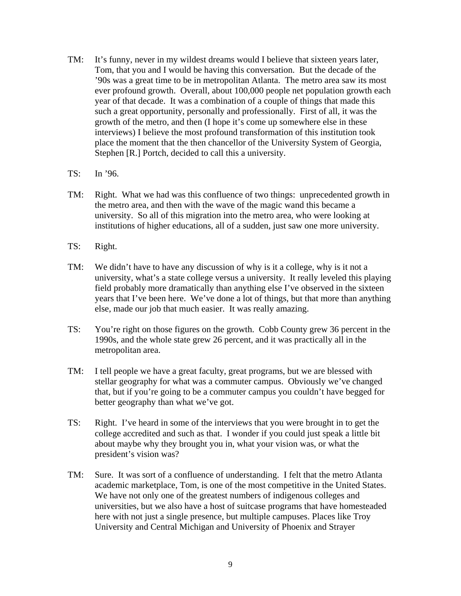- TM: It's funny, never in my wildest dreams would I believe that sixteen years later, Tom, that you and I would be having this conversation. But the decade of the '90s was a great time to be in metropolitan Atlanta. The metro area saw its most ever profound growth. Overall, about 100,000 people net population growth each year of that decade. It was a combination of a couple of things that made this such a great opportunity, personally and professionally. First of all, it was the growth of the metro, and then (I hope it's come up somewhere else in these interviews) I believe the most profound transformation of this institution took place the moment that the then chancellor of the University System of Georgia, Stephen [R.] Portch, decided to call this a university.
- TS: In '96.
- TM: Right. What we had was this confluence of two things: unprecedented growth in the metro area, and then with the wave of the magic wand this became a university. So all of this migration into the metro area, who were looking at institutions of higher educations, all of a sudden, just saw one more university.
- TS: Right.
- TM: We didn't have to have any discussion of why is it a college, why is it not a university, what's a state college versus a university. It really leveled this playing field probably more dramatically than anything else I've observed in the sixteen years that I've been here. We've done a lot of things, but that more than anything else, made our job that much easier. It was really amazing.
- TS: You're right on those figures on the growth. Cobb County grew 36 percent in the 1990s, and the whole state grew 26 percent, and it was practically all in the metropolitan area.
- TM: I tell people we have a great faculty, great programs, but we are blessed with stellar geography for what was a commuter campus. Obviously we've changed that, but if you're going to be a commuter campus you couldn't have begged for better geography than what we've got.
- TS: Right. I've heard in some of the interviews that you were brought in to get the college accredited and such as that. I wonder if you could just speak a little bit about maybe why they brought you in, what your vision was, or what the president's vision was?
- TM: Sure. It was sort of a confluence of understanding. I felt that the metro Atlanta academic marketplace, Tom, is one of the most competitive in the United States. We have not only one of the greatest numbers of indigenous colleges and universities, but we also have a host of suitcase programs that have homesteaded here with not just a single presence, but multiple campuses. Places like Troy University and Central Michigan and University of Phoenix and Strayer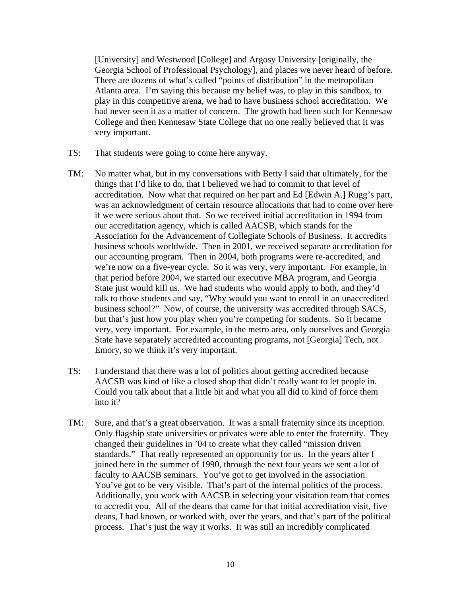[University] and Westwood [College] and Argosy University [originally, the Georgia School of Professional Psychology], and places we never heard of before. There are dozens of what's called "points of distribution" in the metropolitan Atlanta area. I'm saying this because my belief was, to play in this sandbox, to play in this competitive arena, we had to have business school accreditation. We had never seen it as a matter of concern. The growth had been such for Kennesaw College and then Kennesaw State College that no one really believed that it was very important.

- TS: That students were going to come here anyway.
- TM: No matter what, but in my conversations with Betty I said that ultimately, for the things that I'd like to do, that I believed we had to commit to that level of accreditation. Now what that required on her part and Ed [Edwin A.] Rugg's part, was an acknowledgment of certain resource allocations that had to come over here if we were serious about that. So we received initial accreditation in 1994 from our accreditation agency, which is called AACSB, which stands for the Association for the Advancement of Collegiate Schools of Business. It accredits business schools worldwide. Then in 2001, we received separate accreditation for our accounting program. Then in 2004, both programs were re-accredited, and we're now on a five-year cycle. So it was very, very important. For example, in that period before 2004, we started our executive MBA program, and Georgia State just would kill us. We had students who would apply to both, and they'd talk to those students and say, "Why would you want to enroll in an unaccredited business school?" Now, of course, the university was accredited through SACS, but that's just how you play when you're competing for students. So it became very, very important. For example, in the metro area, only ourselves and Georgia State have separately accredited accounting programs, not [Georgia] Tech, not Emory, so we think it's very important.
- TS: I understand that there was a lot of politics about getting accredited because AACSB was kind of like a closed shop that didn't really want to let people in. Could you talk about that a little bit and what you all did to kind of force them into it?
- TM: Sure, and that's a great observation. It was a small fraternity since its inception. Only flagship state universities or privates were able to enter the fraternity. They changed their guidelines in '04 to create what they called "mission driven standards." That really represented an opportunity for us. In the years after I joined here in the summer of 1990, through the next four years we sent a lot of faculty to AACSB seminars. You've got to get involved in the association. You've got to be very visible. That's part of the internal politics of the process. Additionally, you work with AACSB in selecting your visitation team that comes to accredit you. All of the deans that came for that initial accreditation visit, five deans, I had known, or worked with, over the years, and that's part of the political process. That's just the way it works. It was still an incredibly complicated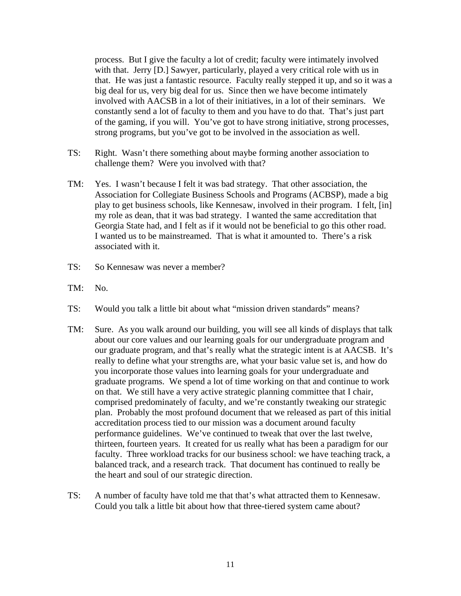process. But I give the faculty a lot of credit; faculty were intimately involved with that. Jerry [D.] Sawyer, particularly, played a very critical role with us in that. He was just a fantastic resource. Faculty really stepped it up, and so it was a big deal for us, very big deal for us. Since then we have become intimately involved with AACSB in a lot of their initiatives, in a lot of their seminars. We constantly send a lot of faculty to them and you have to do that. That's just part of the gaming, if you will. You've got to have strong initiative, strong processes, strong programs, but you've got to be involved in the association as well.

- TS: Right. Wasn't there something about maybe forming another association to challenge them? Were you involved with that?
- TM: Yes. I wasn't because I felt it was bad strategy. That other association, the Association for Collegiate Business Schools and Programs (ACBSP), made a big play to get business schools, like Kennesaw, involved in their program. I felt, [in] my role as dean, that it was bad strategy. I wanted the same accreditation that Georgia State had, and I felt as if it would not be beneficial to go this other road. I wanted us to be mainstreamed. That is what it amounted to. There's a risk associated with it.
- TS: So Kennesaw was never a member?
- TM: No.
- TS: Would you talk a little bit about what "mission driven standards" means?
- TM: Sure. As you walk around our building, you will see all kinds of displays that talk about our core values and our learning goals for our undergraduate program and our graduate program, and that's really what the strategic intent is at AACSB. It's really to define what your strengths are, what your basic value set is, and how do you incorporate those values into learning goals for your undergraduate and graduate programs. We spend a lot of time working on that and continue to work on that. We still have a very active strategic planning committee that I chair, comprised predominately of faculty, and we're constantly tweaking our strategic plan. Probably the most profound document that we released as part of this initial accreditation process tied to our mission was a document around faculty performance guidelines. We've continued to tweak that over the last twelve, thirteen, fourteen years. It created for us really what has been a paradigm for our faculty. Three workload tracks for our business school: we have teaching track, a balanced track, and a research track. That document has continued to really be the heart and soul of our strategic direction.
- TS: A number of faculty have told me that that's what attracted them to Kennesaw. Could you talk a little bit about how that three-tiered system came about?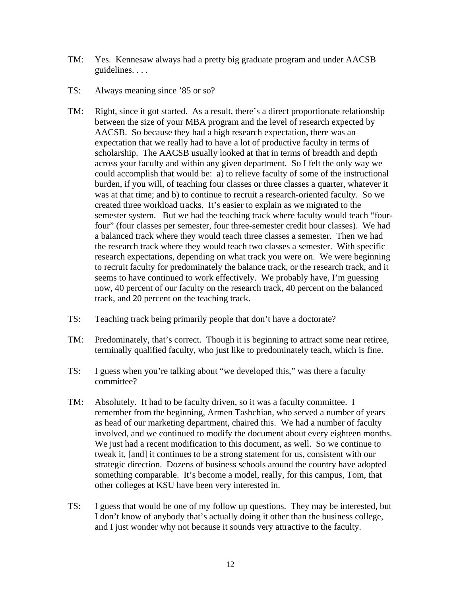- TM: Yes. Kennesaw always had a pretty big graduate program and under AACSB guidelines. . . .
- TS: Always meaning since '85 or so?
- TM: Right, since it got started. As a result, there's a direct proportionate relationship between the size of your MBA program and the level of research expected by AACSB. So because they had a high research expectation, there was an expectation that we really had to have a lot of productive faculty in terms of scholarship. The AACSB usually looked at that in terms of breadth and depth across your faculty and within any given department. So I felt the only way we could accomplish that would be: a) to relieve faculty of some of the instructional burden, if you will, of teaching four classes or three classes a quarter, whatever it was at that time; and b) to continue to recruit a research-oriented faculty. So we created three workload tracks. It's easier to explain as we migrated to the semester system. But we had the teaching track where faculty would teach "fourfour" (four classes per semester, four three-semester credit hour classes). We had a balanced track where they would teach three classes a semester. Then we had the research track where they would teach two classes a semester. With specific research expectations, depending on what track you were on. We were beginning to recruit faculty for predominately the balance track, or the research track, and it seems to have continued to work effectively. We probably have, I'm guessing now, 40 percent of our faculty on the research track, 40 percent on the balanced track, and 20 percent on the teaching track.
- TS: Teaching track being primarily people that don't have a doctorate?
- TM: Predominately, that's correct. Though it is beginning to attract some near retiree, terminally qualified faculty, who just like to predominately teach, which is fine.
- TS: I guess when you're talking about "we developed this," was there a faculty committee?
- TM: Absolutely. It had to be faculty driven, so it was a faculty committee. I remember from the beginning, Armen Tashchian, who served a number of years as head of our marketing department, chaired this. We had a number of faculty involved, and we continued to modify the document about every eighteen months. We just had a recent modification to this document, as well. So we continue to tweak it, [and] it continues to be a strong statement for us, consistent with our strategic direction. Dozens of business schools around the country have adopted something comparable. It's become a model, really, for this campus, Tom, that other colleges at KSU have been very interested in.
- TS: I guess that would be one of my follow up questions. They may be interested, but I don't know of anybody that's actually doing it other than the business college, and I just wonder why not because it sounds very attractive to the faculty.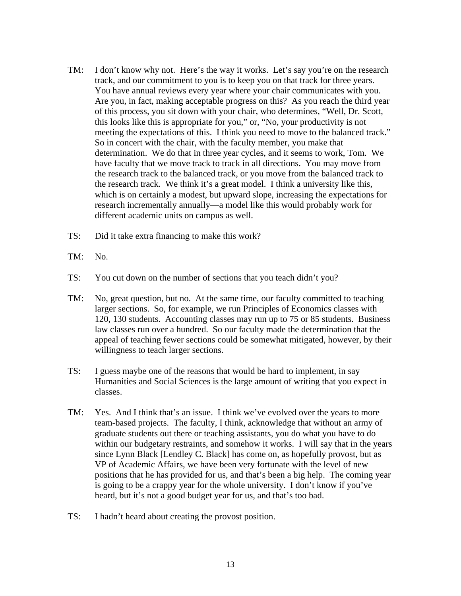- TM: I don't know why not. Here's the way it works. Let's say you're on the research track, and our commitment to you is to keep you on that track for three years. You have annual reviews every year where your chair communicates with you. Are you, in fact, making acceptable progress on this? As you reach the third year of this process, you sit down with your chair, who determines, "Well, Dr. Scott, this looks like this is appropriate for you," or, "No, your productivity is not meeting the expectations of this. I think you need to move to the balanced track." So in concert with the chair, with the faculty member, you make that determination. We do that in three year cycles, and it seems to work, Tom. We have faculty that we move track to track in all directions. You may move from the research track to the balanced track, or you move from the balanced track to the research track. We think it's a great model. I think a university like this, which is on certainly a modest, but upward slope, increasing the expectations for research incrementally annually—a model like this would probably work for different academic units on campus as well.
- TS: Did it take extra financing to make this work?
- TM: No.
- TS: You cut down on the number of sections that you teach didn't you?
- TM: No, great question, but no. At the same time, our faculty committed to teaching larger sections. So, for example, we run Principles of Economics classes with 120, 130 students. Accounting classes may run up to 75 or 85 students. Business law classes run over a hundred. So our faculty made the determination that the appeal of teaching fewer sections could be somewhat mitigated, however, by their willingness to teach larger sections.
- TS: I guess maybe one of the reasons that would be hard to implement, in say Humanities and Social Sciences is the large amount of writing that you expect in classes.
- TM: Yes. And I think that's an issue. I think we've evolved over the years to more team-based projects. The faculty, I think, acknowledge that without an army of graduate students out there or teaching assistants, you do what you have to do within our budgetary restraints, and somehow it works. I will say that in the years since Lynn Black [Lendley C. Black] has come on, as hopefully provost, but as VP of Academic Affairs, we have been very fortunate with the level of new positions that he has provided for us, and that's been a big help. The coming year is going to be a crappy year for the whole university. I don't know if you've heard, but it's not a good budget year for us, and that's too bad.
- TS: I hadn't heard about creating the provost position.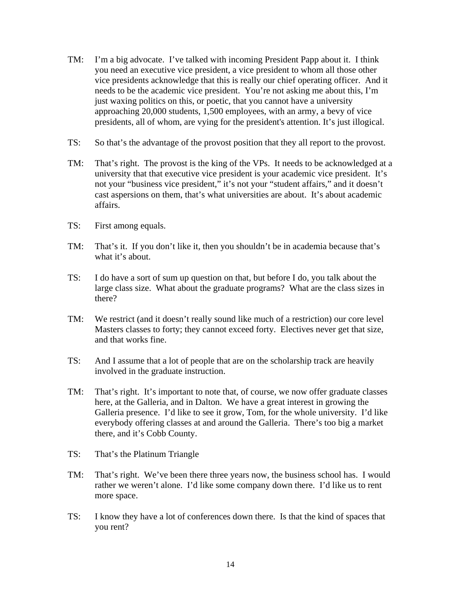- TM: I'm a big advocate. I've talked with incoming President Papp about it. I think you need an executive vice president, a vice president to whom all those other vice presidents acknowledge that this is really our chief operating officer. And it needs to be the academic vice president. You're not asking me about this, I'm just waxing politics on this, or poetic, that you cannot have a university approaching 20,000 students, 1,500 employees, with an army, a bevy of vice presidents, all of whom, are vying for the president's attention. It's just illogical.
- TS: So that's the advantage of the provost position that they all report to the provost.
- TM: That's right. The provost is the king of the VPs. It needs to be acknowledged at a university that that executive vice president is your academic vice president. It's not your "business vice president," it's not your "student affairs," and it doesn't cast aspersions on them, that's what universities are about. It's about academic affairs.
- TS: First among equals.
- TM: That's it. If you don't like it, then you shouldn't be in academia because that's what it's about.
- TS: I do have a sort of sum up question on that, but before I do, you talk about the large class size. What about the graduate programs? What are the class sizes in there?
- TM: We restrict (and it doesn't really sound like much of a restriction) our core level Masters classes to forty; they cannot exceed forty. Electives never get that size, and that works fine.
- TS: And I assume that a lot of people that are on the scholarship track are heavily involved in the graduate instruction.
- TM: That's right. It's important to note that, of course, we now offer graduate classes here, at the Galleria, and in Dalton. We have a great interest in growing the Galleria presence. I'd like to see it grow, Tom, for the whole university. I'd like everybody offering classes at and around the Galleria. There's too big a market there, and it's Cobb County.
- TS: That's the Platinum Triangle
- TM: That's right. We've been there three years now, the business school has. I would rather we weren't alone. I'd like some company down there. I'd like us to rent more space.
- TS: I know they have a lot of conferences down there. Is that the kind of spaces that you rent?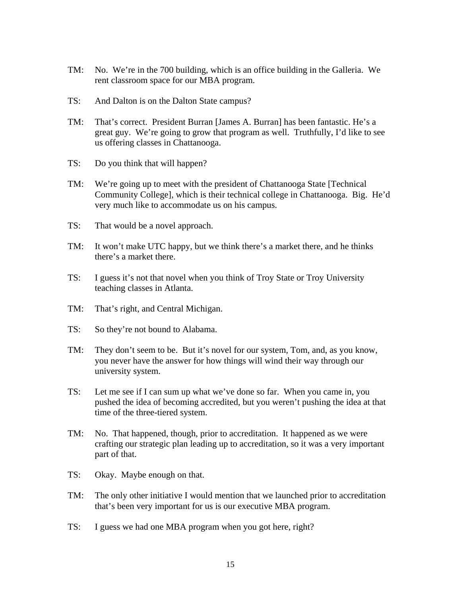- TM: No. We're in the 700 building, which is an office building in the Galleria. We rent classroom space for our MBA program.
- TS: And Dalton is on the Dalton State campus?
- TM: That's correct. President Burran [James A. Burran] has been fantastic. He's a great guy. We're going to grow that program as well. Truthfully, I'd like to see us offering classes in Chattanooga.
- TS: Do you think that will happen?
- TM: We're going up to meet with the president of Chattanooga State [Technical Community College], which is their technical college in Chattanooga. Big. He'd very much like to accommodate us on his campus.
- TS: That would be a novel approach.
- TM: It won't make UTC happy, but we think there's a market there, and he thinks there's a market there.
- TS: I guess it's not that novel when you think of Troy State or Troy University teaching classes in Atlanta.
- TM: That's right, and Central Michigan.
- TS: So they're not bound to Alabama.
- TM: They don't seem to be. But it's novel for our system, Tom, and, as you know, you never have the answer for how things will wind their way through our university system.
- TS: Let me see if I can sum up what we've done so far. When you came in, you pushed the idea of becoming accredited, but you weren't pushing the idea at that time of the three-tiered system.
- TM: No. That happened, though, prior to accreditation. It happened as we were crafting our strategic plan leading up to accreditation, so it was a very important part of that.
- TS: Okay. Maybe enough on that.
- TM: The only other initiative I would mention that we launched prior to accreditation that's been very important for us is our executive MBA program.
- TS: I guess we had one MBA program when you got here, right?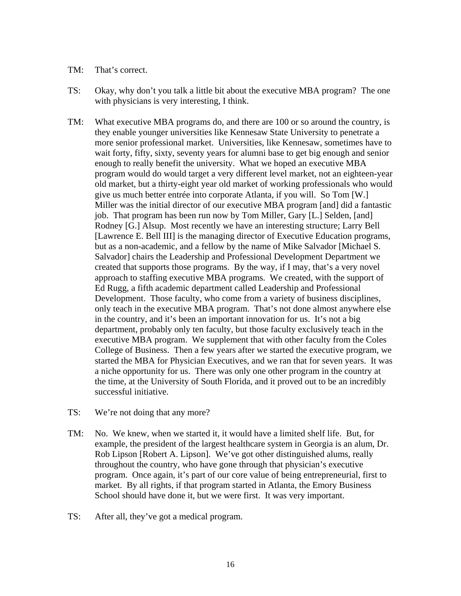#### TM: That's correct.

- TS: Okay, why don't you talk a little bit about the executive MBA program? The one with physicians is very interesting, I think.
- TM: What executive MBA programs do, and there are 100 or so around the country, is they enable younger universities like Kennesaw State University to penetrate a more senior professional market. Universities, like Kennesaw, sometimes have to wait forty, fifty, sixty, seventy years for alumni base to get big enough and senior enough to really benefit the university. What we hoped an executive MBA program would do would target a very different level market, not an eighteen-year old market, but a thirty-eight year old market of working professionals who would give us much better entrée into corporate Atlanta, if you will. So Tom [W.] Miller was the initial director of our executive MBA program [and] did a fantastic job. That program has been run now by Tom Miller, Gary [L.] Selden, [and] Rodney [G.] Alsup. Most recently we have an interesting structure; Larry Bell [Lawrence E. Bell III] is the managing director of Executive Education programs, but as a non-academic, and a fellow by the name of Mike Salvador [Michael S. Salvador] chairs the Leadership and Professional Development Department we created that supports those programs. By the way, if I may, that's a very novel approach to staffing executive MBA programs. We created, with the support of Ed Rugg, a fifth academic department called Leadership and Professional Development. Those faculty, who come from a variety of business disciplines, only teach in the executive MBA program. That's not done almost anywhere else in the country, and it's been an important innovation for us. It's not a big department, probably only ten faculty, but those faculty exclusively teach in the executive MBA program. We supplement that with other faculty from the Coles College of Business. Then a few years after we started the executive program, we started the MBA for Physician Executives, and we ran that for seven years. It was a niche opportunity for us. There was only one other program in the country at the time, at the University of South Florida, and it proved out to be an incredibly successful initiative.
- TS: We're not doing that any more?
- TM: No. We knew, when we started it, it would have a limited shelf life. But, for example, the president of the largest healthcare system in Georgia is an alum, Dr. Rob Lipson [Robert A. Lipson]. We've got other distinguished alums, really throughout the country, who have gone through that physician's executive program. Once again, it's part of our core value of being entrepreneurial, first to market. By all rights, if that program started in Atlanta, the Emory Business School should have done it, but we were first. It was very important.
- TS: After all, they've got a medical program.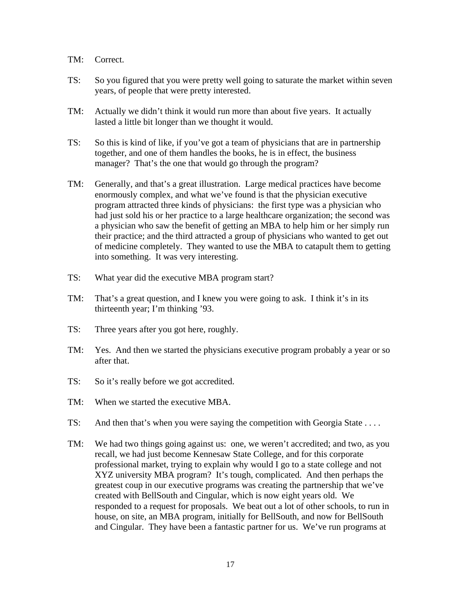- TM: Correct.
- TS: So you figured that you were pretty well going to saturate the market within seven years, of people that were pretty interested.
- TM: Actually we didn't think it would run more than about five years. It actually lasted a little bit longer than we thought it would.
- TS: So this is kind of like, if you've got a team of physicians that are in partnership together, and one of them handles the books, he is in effect, the business manager? That's the one that would go through the program?
- TM: Generally, and that's a great illustration. Large medical practices have become enormously complex, and what we've found is that the physician executive program attracted three kinds of physicians: the first type was a physician who had just sold his or her practice to a large healthcare organization; the second was a physician who saw the benefit of getting an MBA to help him or her simply run their practice; and the third attracted a group of physicians who wanted to get out of medicine completely. They wanted to use the MBA to catapult them to getting into something. It was very interesting.
- TS: What year did the executive MBA program start?
- TM: That's a great question, and I knew you were going to ask. I think it's in its thirteenth year; I'm thinking '93.
- TS: Three years after you got here, roughly.
- TM: Yes. And then we started the physicians executive program probably a year or so after that.
- TS: So it's really before we got accredited.
- TM: When we started the executive MBA.
- TS: And then that's when you were saying the competition with Georgia State . . . .
- TM: We had two things going against us: one, we weren't accredited; and two, as you recall, we had just become Kennesaw State College, and for this corporate professional market, trying to explain why would I go to a state college and not XYZ university MBA program? It's tough, complicated. And then perhaps the greatest coup in our executive programs was creating the partnership that we've created with BellSouth and Cingular, which is now eight years old. We responded to a request for proposals. We beat out a lot of other schools, to run in house, on site, an MBA program, initially for BellSouth, and now for BellSouth and Cingular. They have been a fantastic partner for us. We've run programs at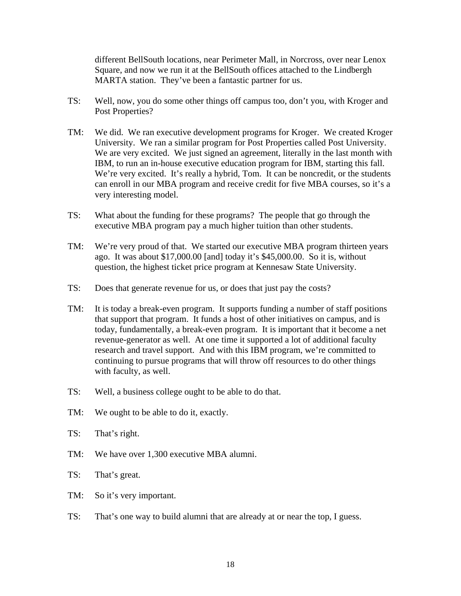different BellSouth locations, near Perimeter Mall, in Norcross, over near Lenox Square, and now we run it at the BellSouth offices attached to the Lindbergh MARTA station. They've been a fantastic partner for us.

- TS: Well, now, you do some other things off campus too, don't you, with Kroger and Post Properties?
- TM: We did. We ran executive development programs for Kroger. We created Kroger University. We ran a similar program for Post Properties called Post University. We are very excited. We just signed an agreement, literally in the last month with IBM, to run an in-house executive education program for IBM, starting this fall. We're very excited. It's really a hybrid, Tom. It can be noncredit, or the students can enroll in our MBA program and receive credit for five MBA courses, so it's a very interesting model.
- TS: What about the funding for these programs? The people that go through the executive MBA program pay a much higher tuition than other students.
- TM: We're very proud of that. We started our executive MBA program thirteen years ago. It was about \$17,000.00 [and] today it's \$45,000.00. So it is, without question, the highest ticket price program at Kennesaw State University.
- TS: Does that generate revenue for us, or does that just pay the costs?
- TM: It is today a break-even program. It supports funding a number of staff positions that support that program. It funds a host of other initiatives on campus, and is today, fundamentally, a break-even program. It is important that it become a net revenue-generator as well. At one time it supported a lot of additional faculty research and travel support. And with this IBM program, we're committed to continuing to pursue programs that will throw off resources to do other things with faculty, as well.
- TS: Well, a business college ought to be able to do that.
- TM: We ought to be able to do it, exactly.
- TS: That's right.
- TM: We have over 1,300 executive MBA alumni.
- TS: That's great.
- TM: So it's very important.
- TS: That's one way to build alumni that are already at or near the top, I guess.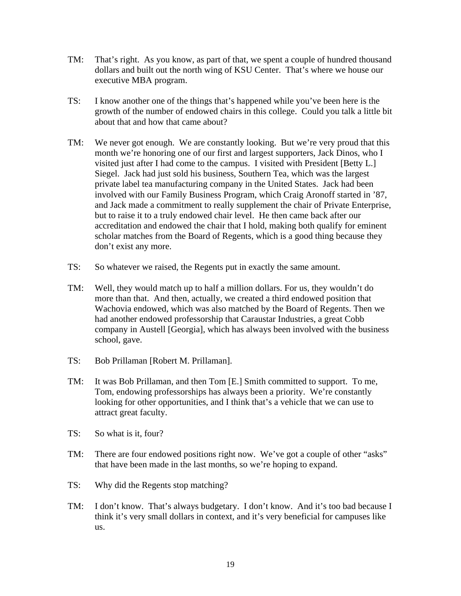- TM: That's right. As you know, as part of that, we spent a couple of hundred thousand dollars and built out the north wing of KSU Center. That's where we house our executive MBA program.
- TS: I know another one of the things that's happened while you've been here is the growth of the number of endowed chairs in this college. Could you talk a little bit about that and how that came about?
- TM: We never got enough. We are constantly looking. But we're very proud that this month we're honoring one of our first and largest supporters, Jack Dinos, who I visited just after I had come to the campus. I visited with President [Betty L.] Siegel. Jack had just sold his business, Southern Tea, which was the largest private label tea manufacturing company in the United States. Jack had been involved with our Family Business Program, which Craig Aronoff started in '87, and Jack made a commitment to really supplement the chair of Private Enterprise, but to raise it to a truly endowed chair level. He then came back after our accreditation and endowed the chair that I hold, making both qualify for eminent scholar matches from the Board of Regents, which is a good thing because they don't exist any more.
- TS: So whatever we raised, the Regents put in exactly the same amount.
- TM: Well, they would match up to half a million dollars. For us, they wouldn't do more than that. And then, actually, we created a third endowed position that Wachovia endowed, which was also matched by the Board of Regents. Then we had another endowed professorship that Caraustar Industries, a great Cobb company in Austell [Georgia], which has always been involved with the business school, gave.
- TS: Bob Prillaman [Robert M. Prillaman].
- TM: It was Bob Prillaman, and then Tom [E.] Smith committed to support. To me, Tom, endowing professorships has always been a priority. We're constantly looking for other opportunities, and I think that's a vehicle that we can use to attract great faculty.
- TS: So what is it, four?
- TM: There are four endowed positions right now. We've got a couple of other "asks" that have been made in the last months, so we're hoping to expand.
- TS: Why did the Regents stop matching?
- TM: I don't know. That's always budgetary. I don't know. And it's too bad because I think it's very small dollars in context, and it's very beneficial for campuses like us.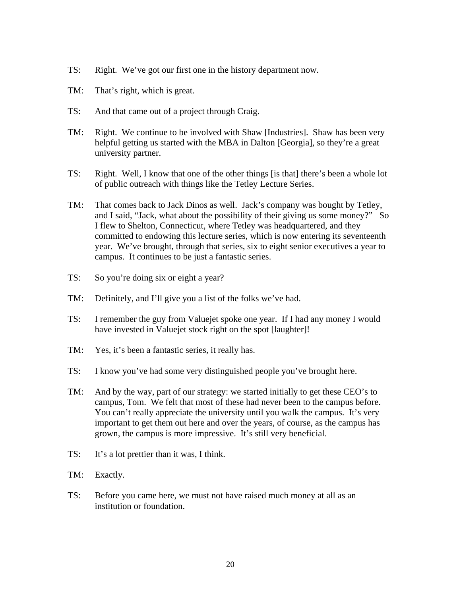- TS: Right. We've got our first one in the history department now.
- TM: That's right, which is great.
- TS: And that came out of a project through Craig.
- TM: Right. We continue to be involved with Shaw [Industries]. Shaw has been very helpful getting us started with the MBA in Dalton [Georgia], so they're a great university partner.
- TS: Right. Well, I know that one of the other things [is that] there's been a whole lot of public outreach with things like the Tetley Lecture Series.
- TM: That comes back to Jack Dinos as well. Jack's company was bought by Tetley, and I said, "Jack, what about the possibility of their giving us some money?" So I flew to Shelton, Connecticut, where Tetley was headquartered, and they committed to endowing this lecture series, which is now entering its seventeenth year. We've brought, through that series, six to eight senior executives a year to campus. It continues to be just a fantastic series.
- TS: So you're doing six or eight a year?
- TM: Definitely, and I'll give you a list of the folks we've had.
- TS: I remember the guy from Valuejet spoke one year. If I had any money I would have invested in Valuejet stock right on the spot [laughter]!
- TM: Yes, it's been a fantastic series, it really has.
- TS: I know you've had some very distinguished people you've brought here.
- TM: And by the way, part of our strategy: we started initially to get these CEO's to campus, Tom. We felt that most of these had never been to the campus before. You can't really appreciate the university until you walk the campus. It's very important to get them out here and over the years, of course, as the campus has grown, the campus is more impressive. It's still very beneficial.
- TS: It's a lot prettier than it was, I think.
- TM: Exactly.
- TS: Before you came here, we must not have raised much money at all as an institution or foundation.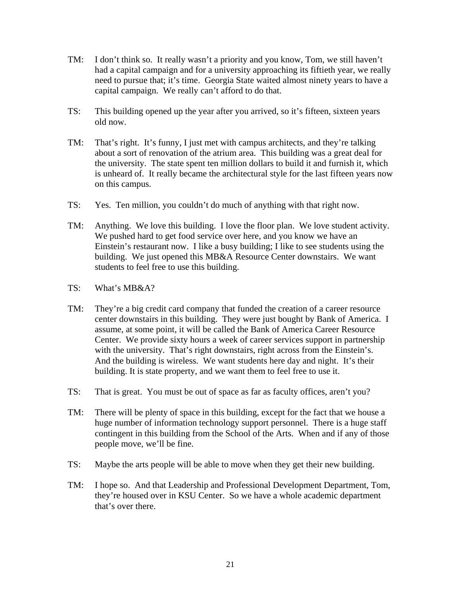- TM: I don't think so. It really wasn't a priority and you know, Tom, we still haven't had a capital campaign and for a university approaching its fiftieth year, we really need to pursue that; it's time. Georgia State waited almost ninety years to have a capital campaign. We really can't afford to do that.
- TS: This building opened up the year after you arrived, so it's fifteen, sixteen years old now.
- TM: That's right. It's funny, I just met with campus architects, and they're talking about a sort of renovation of the atrium area. This building was a great deal for the university. The state spent ten million dollars to build it and furnish it, which is unheard of. It really became the architectural style for the last fifteen years now on this campus.
- TS: Yes. Ten million, you couldn't do much of anything with that right now.
- TM: Anything. We love this building. I love the floor plan. We love student activity. We pushed hard to get food service over here, and you know we have an Einstein's restaurant now. I like a busy building; I like to see students using the building. We just opened this MB&A Resource Center downstairs. We want students to feel free to use this building.
- TS: What's MB&A?
- TM: They're a big credit card company that funded the creation of a career resource center downstairs in this building. They were just bought by Bank of America. I assume, at some point, it will be called the Bank of America Career Resource Center. We provide sixty hours a week of career services support in partnership with the university. That's right downstairs, right across from the Einstein's. And the building is wireless. We want students here day and night. It's their building. It is state property, and we want them to feel free to use it.
- TS: That is great. You must be out of space as far as faculty offices, aren't you?
- TM: There will be plenty of space in this building, except for the fact that we house a huge number of information technology support personnel. There is a huge staff contingent in this building from the School of the Arts. When and if any of those people move, we'll be fine.
- TS: Maybe the arts people will be able to move when they get their new building.
- TM: I hope so. And that Leadership and Professional Development Department, Tom, they're housed over in KSU Center. So we have a whole academic department that's over there.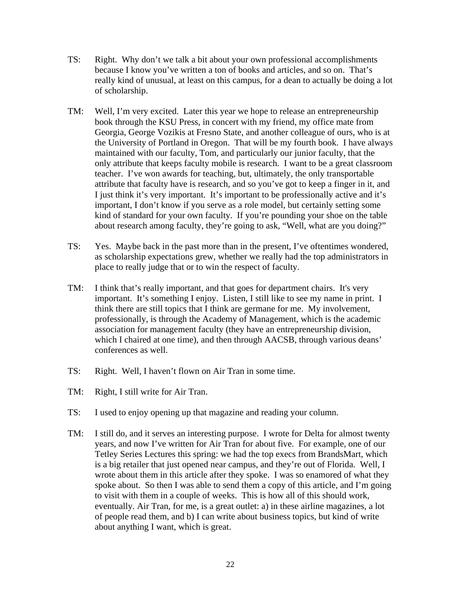- TS: Right. Why don't we talk a bit about your own professional accomplishments because I know you've written a ton of books and articles, and so on. That's really kind of unusual, at least on this campus, for a dean to actually be doing a lot of scholarship.
- TM: Well, I'm very excited. Later this year we hope to release an entrepreneurship book through the KSU Press, in concert with my friend, my office mate from Georgia, George Vozikis at Fresno State, and another colleague of ours, who is at the University of Portland in Oregon. That will be my fourth book. I have always maintained with our faculty, Tom, and particularly our junior faculty, that the only attribute that keeps faculty mobile is research. I want to be a great classroom teacher. I've won awards for teaching, but, ultimately, the only transportable attribute that faculty have is research, and so you've got to keep a finger in it, and I just think it's very important. It's important to be professionally active and it's important, I don't know if you serve as a role model, but certainly setting some kind of standard for your own faculty. If you're pounding your shoe on the table about research among faculty, they're going to ask, "Well, what are you doing?"
- TS: Yes. Maybe back in the past more than in the present, I've oftentimes wondered, as scholarship expectations grew, whether we really had the top administrators in place to really judge that or to win the respect of faculty.
- TM: I think that's really important, and that goes for department chairs. It's very important. It's something I enjoy. Listen, I still like to see my name in print. I think there are still topics that I think are germane for me. My involvement, professionally, is through the Academy of Management, which is the academic association for management faculty (they have an entrepreneurship division, which I chaired at one time), and then through AACSB, through various deans' conferences as well.
- TS: Right. Well, I haven't flown on Air Tran in some time.
- TM: Right, I still write for Air Tran.
- TS: I used to enjoy opening up that magazine and reading your column.
- TM: I still do, and it serves an interesting purpose. I wrote for Delta for almost twenty years, and now I've written for Air Tran for about five. For example, one of our Tetley Series Lectures this spring: we had the top execs from BrandsMart, which is a big retailer that just opened near campus, and they're out of Florida. Well, I wrote about them in this article after they spoke. I was so enamored of what they spoke about. So then I was able to send them a copy of this article, and I'm going to visit with them in a couple of weeks. This is how all of this should work, eventually. Air Tran, for me, is a great outlet: a) in these airline magazines, a lot of people read them, and b) I can write about business topics, but kind of write about anything I want, which is great.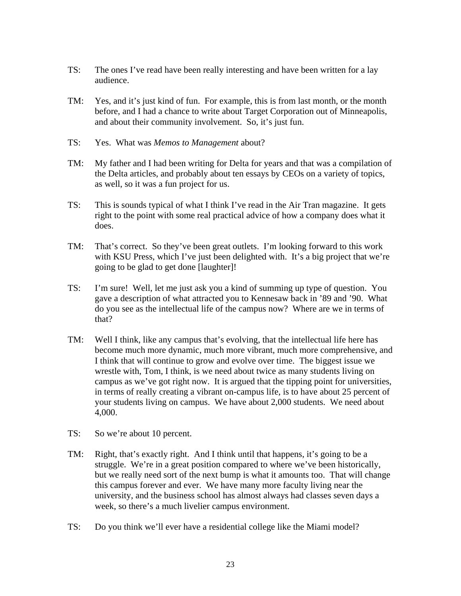- TS: The ones I've read have been really interesting and have been written for a lay audience.
- TM: Yes, and it's just kind of fun. For example, this is from last month, or the month before, and I had a chance to write about Target Corporation out of Minneapolis, and about their community involvement. So, it's just fun.
- TS: Yes. What was *Memos to Management* about?
- TM: My father and I had been writing for Delta for years and that was a compilation of the Delta articles, and probably about ten essays by CEOs on a variety of topics, as well, so it was a fun project for us.
- TS: This is sounds typical of what I think I've read in the Air Tran magazine. It gets right to the point with some real practical advice of how a company does what it does.
- TM: That's correct. So they've been great outlets. I'm looking forward to this work with KSU Press, which I've just been delighted with. It's a big project that we're going to be glad to get done [laughter]!
- TS: I'm sure! Well, let me just ask you a kind of summing up type of question. You gave a description of what attracted you to Kennesaw back in '89 and '90. What do you see as the intellectual life of the campus now? Where are we in terms of that?
- TM: Well I think, like any campus that's evolving, that the intellectual life here has become much more dynamic, much more vibrant, much more comprehensive, and I think that will continue to grow and evolve over time. The biggest issue we wrestle with, Tom, I think, is we need about twice as many students living on campus as we've got right now. It is argued that the tipping point for universities, in terms of really creating a vibrant on-campus life, is to have about 25 percent of your students living on campus. We have about 2,000 students. We need about 4,000.
- TS: So we're about 10 percent.
- TM: Right, that's exactly right. And I think until that happens, it's going to be a struggle. We're in a great position compared to where we've been historically, but we really need sort of the next bump is what it amounts too. That will change this campus forever and ever. We have many more faculty living near the university, and the business school has almost always had classes seven days a week, so there's a much livelier campus environment.
- TS: Do you think we'll ever have a residential college like the Miami model?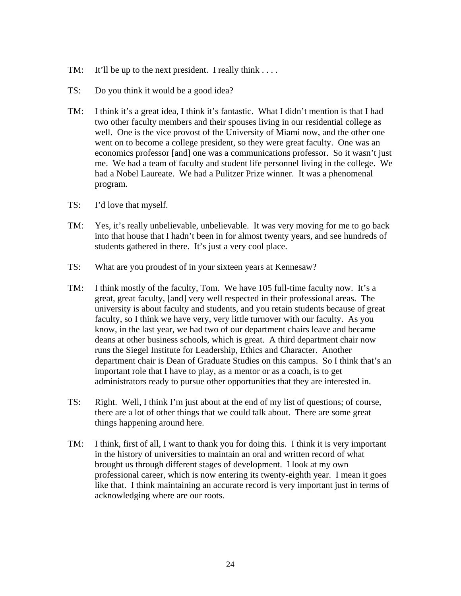- TM: It'll be up to the next president. I really think  $\dots$
- TS: Do you think it would be a good idea?
- TM: I think it's a great idea, I think it's fantastic. What I didn't mention is that I had two other faculty members and their spouses living in our residential college as well. One is the vice provost of the University of Miami now, and the other one went on to become a college president, so they were great faculty. One was an economics professor [and] one was a communications professor. So it wasn't just me. We had a team of faculty and student life personnel living in the college. We had a Nobel Laureate. We had a Pulitzer Prize winner. It was a phenomenal program.
- TS: I'd love that myself.
- TM: Yes, it's really unbelievable, unbelievable. It was very moving for me to go back into that house that I hadn't been in for almost twenty years, and see hundreds of students gathered in there. It's just a very cool place.
- TS: What are you proudest of in your sixteen years at Kennesaw?
- TM: I think mostly of the faculty, Tom. We have 105 full-time faculty now. It's a great, great faculty, [and] very well respected in their professional areas. The university is about faculty and students, and you retain students because of great faculty, so I think we have very, very little turnover with our faculty. As you know, in the last year, we had two of our department chairs leave and became deans at other business schools, which is great. A third department chair now runs the Siegel Institute for Leadership, Ethics and Character. Another department chair is Dean of Graduate Studies on this campus. So I think that's an important role that I have to play, as a mentor or as a coach, is to get administrators ready to pursue other opportunities that they are interested in.
- TS: Right. Well, I think I'm just about at the end of my list of questions; of course, there are a lot of other things that we could talk about. There are some great things happening around here.
- TM: I think, first of all, I want to thank you for doing this. I think it is very important in the history of universities to maintain an oral and written record of what brought us through different stages of development. I look at my own professional career, which is now entering its twenty-eighth year. I mean it goes like that. I think maintaining an accurate record is very important just in terms of acknowledging where are our roots.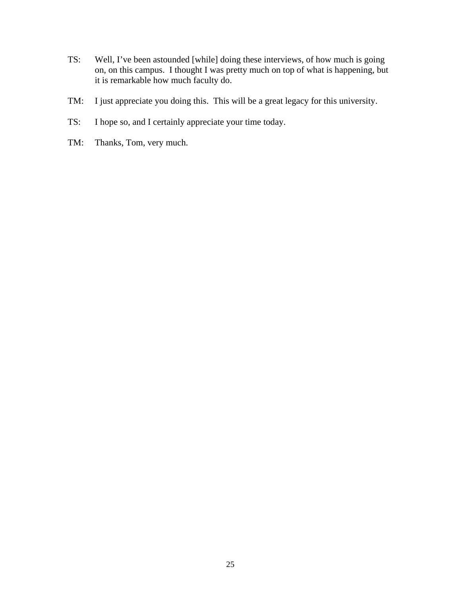- TS: Well, I've been astounded [while] doing these interviews, of how much is going on, on this campus. I thought I was pretty much on top of what is happening, but it is remarkable how much faculty do.
- TM: I just appreciate you doing this. This will be a great legacy for this university.
- TS: I hope so, and I certainly appreciate your time today.
- TM: Thanks, Tom, very much.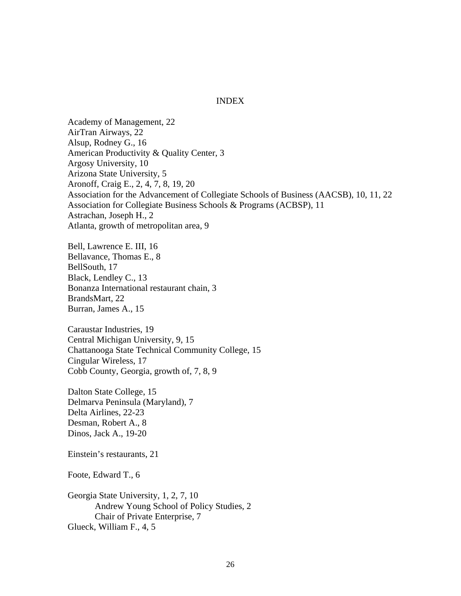### INDEX

Academy of Management, 22 AirTran Airways, 22 Alsup, Rodney G., 16 American Productivity & Quality Center, 3 Argosy University, 10 Arizona State University, 5 Aronoff, Craig E., 2, 4, 7, 8, 19, 20 Association for the Advancement of Collegiate Schools of Business (AACSB), 10, 11, 22 Association for Collegiate Business Schools & Programs (ACBSP), 11 Astrachan, Joseph H., 2 Atlanta, growth of metropolitan area, 9

Bell, Lawrence E. III, 16 Bellavance, Thomas E., 8 BellSouth, 17 Black, Lendley C., 13 Bonanza International restaurant chain, 3 BrandsMart, 22 Burran, James A., 15

Caraustar Industries, 19 Central Michigan University, 9, 15 Chattanooga State Technical Community College, 15 Cingular Wireless, 17 Cobb County, Georgia, growth of, 7, 8, 9

Dalton State College, 15 Delmarva Peninsula (Maryland), 7 Delta Airlines, 22-23 Desman, Robert A., 8 Dinos, Jack A., 19-20

Einstein's restaurants, 21

Foote, Edward T., 6

Georgia State University, 1, 2, 7, 10 Andrew Young School of Policy Studies, 2 Chair of Private Enterprise, 7 Glueck, William F., 4, 5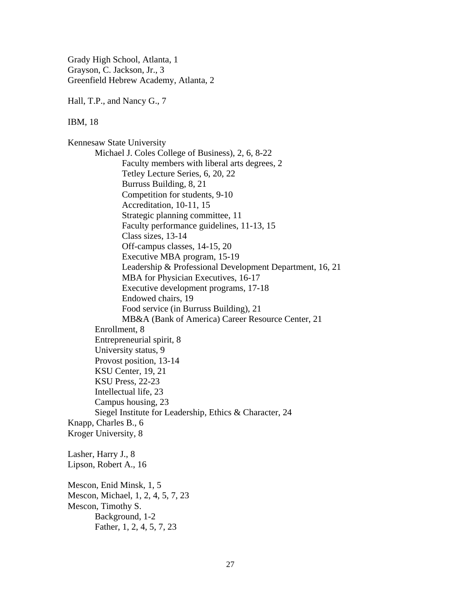Grady High School, Atlanta, 1 Grayson, C. Jackson, Jr., 3 Greenfield Hebrew Academy, Atlanta, 2

Hall, T.P., and Nancy G., 7

IBM, 18

Kennesaw State University Michael J. Coles College of Business), 2, 6, 8-22 Faculty members with liberal arts degrees, 2 Tetley Lecture Series, 6, 20, 22 Burruss Building, 8, 21 Competition for students, 9-10 Accreditation, 10-11, 15 Strategic planning committee, 11 Faculty performance guidelines, 11-13, 15 Class sizes, 13-14 Off-campus classes, 14-15, 20 Executive MBA program, 15-19 Leadership & Professional Development Department, 16, 21 MBA for Physician Executives, 16-17 Executive development programs, 17-18 Endowed chairs, 19 Food service (in Burruss Building), 21 MB&A (Bank of America) Career Resource Center, 21 Enrollment, 8 Entrepreneurial spirit, 8 University status, 9 Provost position, 13-14 KSU Center, 19, 21 KSU Press, 22-23 Intellectual life, 23 Campus housing, 23 Siegel Institute for Leadership, Ethics & Character, 24 Knapp, Charles B., 6 Kroger University, 8 Lasher, Harry J., 8 Lipson, Robert A., 16 Mescon, Enid Minsk, 1, 5 Mescon, Michael, 1, 2, 4, 5, 7, 23 Mescon, Timothy S. Background, 1-2 Father, 1, 2, 4, 5, 7, 23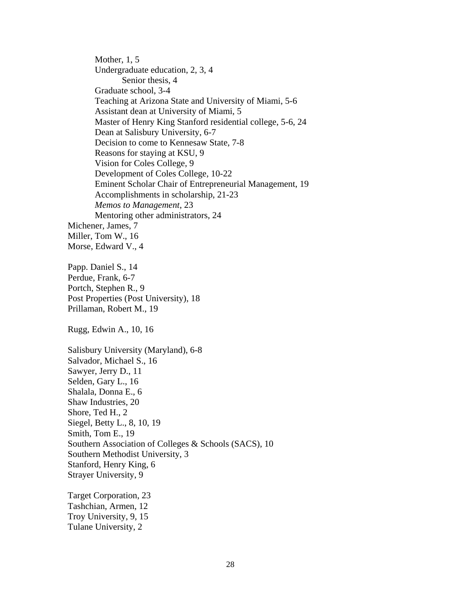Mother, 1, 5 Undergraduate education, 2, 3, 4 Senior thesis, 4 Graduate school, 3-4 Teaching at Arizona State and University of Miami, 5-6 Assistant dean at University of Miami, 5 Master of Henry King Stanford residential college, 5-6, 24 Dean at Salisbury University, 6-7 Decision to come to Kennesaw State, 7-8 Reasons for staying at KSU, 9 Vision for Coles College, 9 Development of Coles College, 10-22 Eminent Scholar Chair of Entrepreneurial Management, 19 Accomplishments in scholarship, 21-23 *Memos to Management*, 23 Mentoring other administrators, 24 Michener, James, 7 Miller, Tom W., 16 Morse, Edward V., 4 Papp. Daniel S., 14 Perdue, Frank, 6-7 Portch, Stephen R., 9 Post Properties (Post University), 18 Prillaman, Robert M., 19 Rugg, Edwin A., 10, 16 Salisbury University (Maryland), 6-8 Salvador, Michael S., 16 Sawyer, Jerry D., 11 Selden, Gary L., 16 Shalala, Donna E., 6 Shaw Industries, 20 Shore, Ted H., 2 Siegel, Betty L., 8, 10, 19 Smith, Tom E., 19 Southern Association of Colleges & Schools (SACS), 10 Southern Methodist University, 3 Stanford, Henry King, 6 Strayer University, 9 Target Corporation, 23

Tashchian, Armen, 12 Troy University, 9, 15 Tulane University, 2